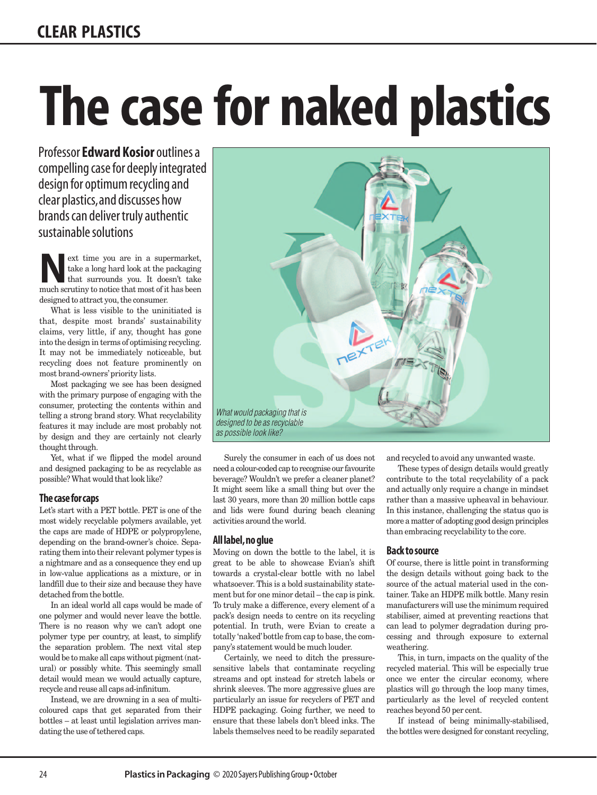# **The case for naked plastics**

Professor **Edward Kosior** outlines a compelling case for deeply integrated design for optimum recycling and clear plastics, and discusses how brands can deliver truly authentic sustainable solutions

**N**ext time you are in a supermarket,<br>take a long hard look at the packaging<br>that surrounds you. It doesn't take<br>much scrutiny to notice that most of it has been take a long hard look at the packaging that surrounds you. It doesn't take much scrutiny to notice that most of it has been designed to attract you, the consumer.

What is less visible to the uninitiated is that, despite most brands' sustainability claims, very little, if any, thought has gone into the design in terms of optimising recycling. It may not be immediately noticeable, but recycling does not feature prominently on most brand-owners' priority lists.

Most packaging we see has been designed with the primary purpose of engaging with the consumer, protecting the contents within and telling a strong brand story. What recyclability features it may include are most probably not by design and they are certainly not clearly thought through.

Yet, what if we flipped the model around and designed packaging to be as recyclable as possible? What would that look like?

## **The case for caps**

Let's start with a PET bottle. PET is one of the most widely recyclable polymers available, yet the caps are made of HDPE or polypropylene, depending on the brand-owner's choice. Separating them into their relevant polymer types is a nightmare and as a consequence they end up in low-value applications as a mixture, or in landfill due to their size and because they have detached from the bottle.

In an ideal world all caps would be made of one polymer and would never leave the bottle. There is no reason why we can't adopt one polymer type per country, at least, to simplify the separation problem. The next vital step would be to make all caps without pigment (natural) or possibly white. This seemingly small detail would mean we would actually capture, recycle and reuse all caps ad-infinitum.

Instead, we are drowning in a sea of multicoloured caps that get separated from their bottles – at least until legislation arrives mandating the use of tethered caps.



Surely the consumer in each of us does not need a colour-coded cap to recognise our favourite beverage? Wouldn't we prefer a cleaner planet? It might seem like a small thing but over the last 30 years, more than 20 million bottle caps and lids were found during beach cleaning activities around the world.

# **All label, no glue**

Moving on down the bottle to the label, it is great to be able to showcase Evian's shift towards a crystal-clear bottle with no label whatsoever. This is a bold sustainability statement but for one minor detail – the cap is pink. To truly make a difference, every element of a pack's design needs to centre on its recycling potential. In truth, were Evian to create a totally 'naked' bottle from cap to base, the company's statement would be much louder.

Certainly, we need to ditch the pressuresensitive labels that contaminate recycling streams and opt instead for stretch labels or shrink sleeves. The more aggressive glues are particularly an issue for recyclers of PET and HDPE packaging. Going further, we need to ensure that these labels don't bleed inks. The labels themselves need to be readily separated and recycled to avoid any unwanted waste.

These types of design details would greatly contribute to the total recyclability of a pack and actually only require a change in mindset rather than a massive upheaval in behaviour. In this instance, challenging the status quo is more a matter of adopting good design principles than embracing recyclability to the core.

### **Back to source**

Of course, there is little point in transforming the design details without going back to the source of the actual material used in the container. Take an HDPE milk bottle. Many resin manufacturers will use the minimum required stabiliser, aimed at preventing reactions that can lead to polymer degradation during processing and through exposure to external weathering.

This, in turn, impacts on the quality of the recycled material. This will be especially true once we enter the circular economy, where plastics will go through the loop many times, particularly as the level of recycled content reaches beyond 50 per cent.

If instead of being minimally-stabilised, the bottles were designed for constant recycling,